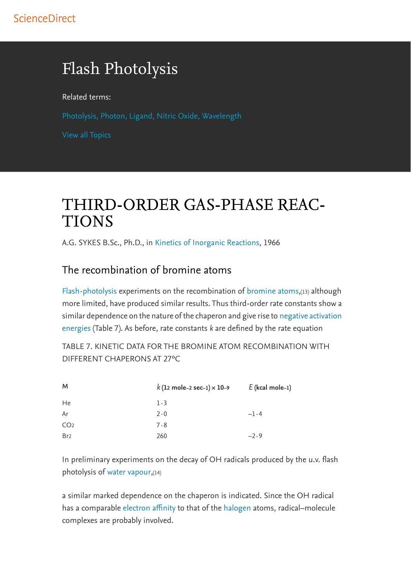# Flash Photolysis

#### Related terms:

[Photolysis,](https://www.sciencedirect.com/topics/chemistry/photolysis) [Photon](https://www.sciencedirect.com/topics/chemistry/photon), [Ligand,](https://www.sciencedirect.com/topics/chemistry/ligand) [Nitric Oxide,](https://www.sciencedirect.com/topics/chemistry/nitric-oxide) [Wavelength](https://www.sciencedirect.com/topics/chemistry/wavelength)

[View all Topics](https://www.sciencedirect.com/topics/index)

# [THIRD-ORDER GAS-PHASE REAC-](https://www.sciencedirect.com/science/article/pii/B978008011441550009X)**[TIONS](https://www.sciencedirect.com/science/article/pii/B978008011441550009X)**

A.G. SYKES B.Sc., Ph.D., in [Kinetics of Inorganic Reactions,](https://www.sciencedirect.com/book/9780080114415) 1966

### The recombination of bromine atoms

[Flash-photolysis](https://www.sciencedirect.com/topics/chemistry/flash-photolysis) experiments on the recombination of [bromine atoms,](https://www.sciencedirect.com/topics/chemistry/bromine-atom)(13) although more limited, have produced similar results. Thus third-order rate constants show a similar dependence on the nature of the chaperon and give rise to [negative activation](https://www.sciencedirect.com/topics/chemistry/negative-activation-energy)  [energies](https://www.sciencedirect.com/topics/chemistry/negative-activation-energy) (Table 7). As before, rate constants k are defined by the rate equation

TABLE 7. KINETIC DATA FOR THE BROMINE ATOM RECOMBINATION WITH DIFFERENT CHAPERONS AT 27ºC

| M               | $k$ (12 mole–2 sec–1) $\times$ 10–9 | $E$ (kcal mole-1) |
|-----------------|-------------------------------------|-------------------|
| He              | 1.3                                 |                   |
| Ar              | $2 \cdot 0$                         | $-1.4$            |
| CO <sub>2</sub> | 7.8                                 |                   |
| Br <sub>2</sub> | 260                                 | $-2.9$            |

In preliminary experiments on the decay of OH radicals produced by the u.v. flash photolysis of [water vapour,](https://www.sciencedirect.com/topics/chemistry/water-vapor)(14)

a similar marked dependence on the chaperon is indicated. Since the OH radical has a comparable [electron affinity](https://www.sciencedirect.com/topics/chemistry/electron-affinity) to that of the [halogen](https://www.sciencedirect.com/topics/chemistry/halogen) atoms, radical–molecule complexes are probably involved.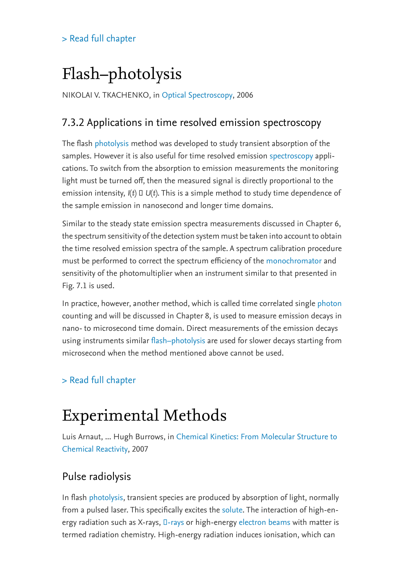# [Flash–photolysis](https://www.sciencedirect.com/science/article/pii/B9780444521262500319)

NIKOLAI V. TKACHENKO, in [Optical Spectroscopy,](https://www.sciencedirect.com/book/9780444521262) 2006

## 7.3.2 Applications in time resolved emission spectroscopy

The flash [photolysis](https://www.sciencedirect.com/topics/physics-and-astronomy/photolysis) method was developed to study transient absorption of the samples. However it is also useful for time resolved emission [spectroscopy](https://www.sciencedirect.com/topics/physics-and-astronomy/spectroscopy) applications. To switch from the absorption to emission measurements the monitoring light must be turned off, then the measured signal is directly proportional to the emission intensity,  $I(t) \Box U(t)$ . This is a simple method to study time dependence of the sample emission in nanosecond and longer time domains.

Similar to the steady state emission spectra measurements discussed in Chapter 6, the spectrum sensitivity of the detection system must be taken into account to obtain the time resolved emission spectra of the sample. A spectrum calibration procedure must be performed to correct the spectrum efficiency of the [monochromator](https://www.sciencedirect.com/topics/physics-and-astronomy/monochromators) and sensitivity of the photomultiplier when an instrument similar to that presented in Fig. 7.1 is used.

In practice, however, another method, which is called time correlated single [photon](https://www.sciencedirect.com/topics/physics-and-astronomy/photons) counting and will be discussed in Chapter 8, is used to measure emission decays in nano- to microsecond time domain. Direct measurements of the emission decays using instruments similar [flash–photolysis](https://www.sciencedirect.com/topics/chemistry/flash-photolysis) are used for slower decays starting from microsecond when the method mentioned above cannot be used.

## [> Read full chapter](https://www.sciencedirect.com/science/article/pii/B9780444521262500319)

# [Experimental Methods](https://www.sciencedirect.com/science/article/pii/B9780444521866500031)

Luis Arnaut, ... Hugh Burrows, in [Chemical Kinetics: From Molecular Structure to](https://www.sciencedirect.com/book/9780444521866)  [Chemical Reactivity](https://www.sciencedirect.com/book/9780444521866), 2007

## Pulse radiolysis

In flash [photolysis](https://www.sciencedirect.com/topics/chemistry/photolysis), transient species are produced by absorption of light, normally from a pulsed laser. This specifically excites the [solute](https://www.sciencedirect.com/topics/chemistry/solute). The interaction of high-energy radiation such as X-rays,  $\Box$ -rays or high-energy [electron beams](https://www.sciencedirect.com/topics/chemistry/electron-beam) with matter is termed radiation chemistry. High-energy radiation induces ionisation, which can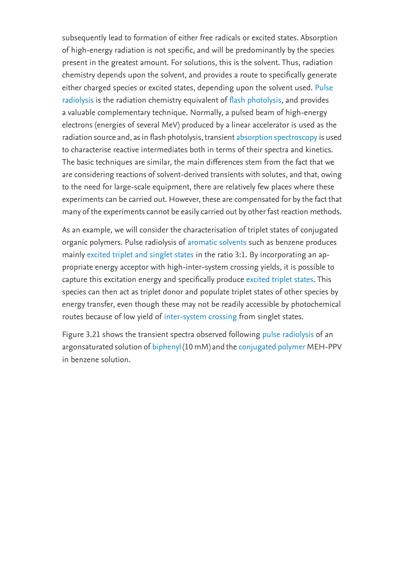subsequently lead to formation of either free radicals or excited states. Absorption of high-energy radiation is not specific, and will be predominantly by the species present in the greatest amount. For solutions, this is the solvent. Thus, radiation chemistry depends upon the solvent, and provides a route to specifically generate either charged species or excited states, depending upon the solvent used. [Pulse](https://www.sciencedirect.com/topics/chemistry/radiolysis)  [radiolysis](https://www.sciencedirect.com/topics/chemistry/radiolysis) is the radiation chemistry equivalent of [flash photolysis,](https://www.sciencedirect.com/topics/chemistry/flash-photolysis) and provides a valuable complementary technique. Normally, a pulsed beam of high-energy electrons (energies of several MeV) produced by a linear accelerator is used as the radiation source and, as in flash photolysis, transient [absorption spectroscopy](https://www.sciencedirect.com/topics/chemistry/absorption-spectroscopy) is used to characterise reactive intermediates both in terms of their spectra and kinetics. The basic techniques are similar, the main differences stem from the fact that we are considering reactions of solvent-derived transients with solutes, and that, owing to the need for large-scale equipment, there are relatively few places where these experiments can be carried out. However, these are compensated for by the fact that many of the experiments cannot be easily carried out by other fast reaction methods.

As an example, we will consider the characterisation of triplet states of conjugated organic polymers. Pulse radiolysis of [aromatic solvents](https://www.sciencedirect.com/topics/chemistry/aromatic-solvent) such as benzene produces mainly [excited triplet and singlet states](https://www.sciencedirect.com/topics/chemistry/excited-singlet-state) in the ratio 3:1. By incorporating an appropriate energy acceptor with high-inter-system crossing yields, it is possible to capture this excitation energy and specifically produce [excited triplet states](https://www.sciencedirect.com/topics/chemistry/excited-triplet-state). This species can then act as triplet donor and populate triplet states of other species by energy transfer, even though these may not be readily accessible by photochemical routes because of low yield of [inter-system crossing](https://www.sciencedirect.com/topics/chemistry/intersystem-crossing-singlet-and-gttriplet) from singlet states.

Figure 3.21 shows the transient spectra observed following [pulse radiolysis](https://www.sciencedirect.com/topics/chemistry/radiolysis) of an argonsaturated solution of [biphenyl](https://www.sciencedirect.com/topics/chemistry/biphenyl) (10 mM) and the [conjugated polymer](https://www.sciencedirect.com/topics/chemistry/conjugated-polymer) MEH-PPV in benzene solution.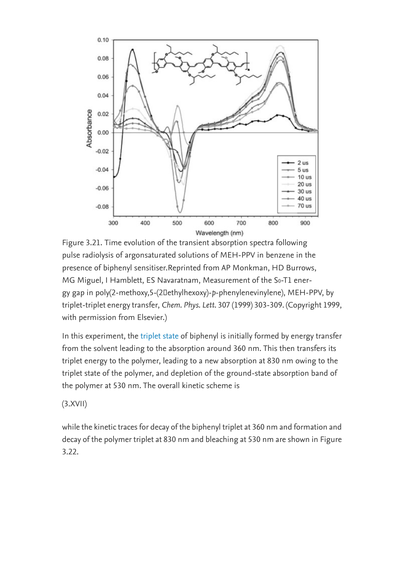

Figure 3.21. Time evolution of the transient absorption spectra following pulse radiolysis of argonsaturated solutions of MEH-PPV in benzene in the presence of biphenyl sensitiser.Reprinted from AP Monkman, HD Burrows, MG Miguel, I Hamblett, ES Navaratnam, Measurement of the So-T1 energy gap in poly(2-methoxy,5-(2Dethylhexoxy)-p-phenylenevinylene), MEH-PPV, by triplet-triplet energy transfer, Chem. Phys. Lett. 307 (1999) 303-309. (Copyright 1999, with permission from Elsevier.)

In this experiment, the [triplet state](https://www.sciencedirect.com/topics/chemistry/triplet-state) of biphenyl is initially formed by energy transfer from the solvent leading to the absorption around 360 nm. This then transfers its triplet energy to the polymer, leading to a new absorption at 830 nm owing to the triplet state of the polymer, and depletion of the ground-state absorption band of the polymer at 530 nm. The overall kinetic scheme is

(3.XVII)

while the kinetic traces for decay of the biphenyl triplet at 360 nm and formation and decay of the polymer triplet at 830 nm and bleaching at 530 nm are shown in Figure 3.22.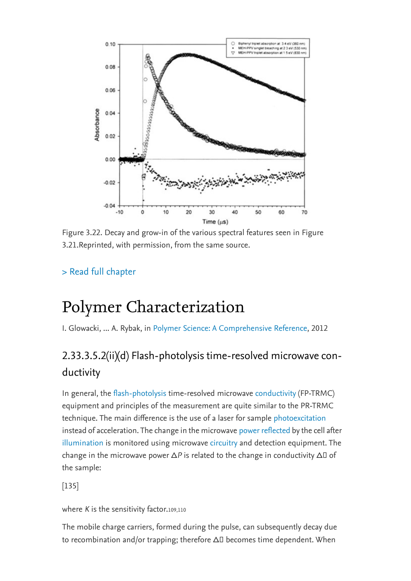

Figure 3.22. Decay and grow-in of the various spectral features seen in Figure 3.21.Reprinted, with permission, from the same source.

### [> Read full chapter](https://www.sciencedirect.com/science/article/pii/B9780444521866500031)

# [Polymer Characterization](https://www.sciencedirect.com/science/article/pii/B9780444533494000583)

I. Glowacki, ... A. Rybak, in [Polymer Science: A Comprehensive Reference](https://www.sciencedirect.com/referencework/9780080878621), 2012

## 2.33.3.5.2(ii)(d) Flash-photolysis time-resolved microwave conductivity

In general, the [flash-photolysis](https://www.sciencedirect.com/topics/chemistry/flash-photolysis) time-resolved microwave [conductivity](https://www.sciencedirect.com/topics/materials-science/conductivity) (FP-TRMC) equipment and principles of the measurement are quite similar to the PR-TRMC technique. The main difference is the use of a laser for sample [photoexcitation](https://www.sciencedirect.com/topics/chemistry/photoexcitation) instead of acceleration. The change in the microwave [power reflected](https://www.sciencedirect.com/topics/engineering/reflected-power) by the cell after [illumination](https://www.sciencedirect.com/topics/chemistry/illumination) is monitored using microwave [circuitry](https://www.sciencedirect.com/topics/engineering/circuitry) and detection equipment. The change in the microwave power  $\Delta P$  is related to the change in conductivity  $\Delta \Box$  of the sample:

[135]

where K is the sensitivity factor.109,110

The mobile charge carriers, formed during the pulse, can subsequently decay due to recombination and/or trapping; therefore  $\Delta \mathbb{D}$  becomes time dependent. When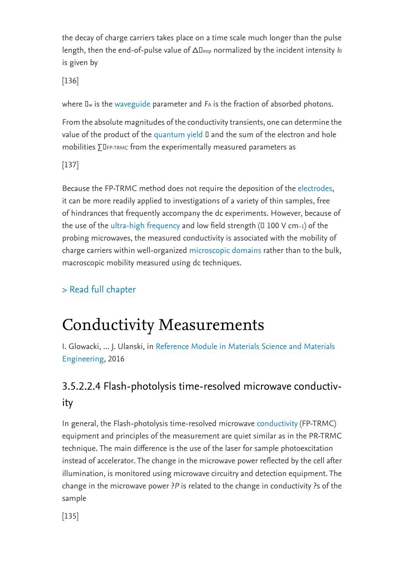the decay of charge carriers takes place on a time scale much longer than the pulse length, then the end-of-pulse value of  $\Delta\mathbb{D}_{\text{eop}}$  normalized by the incident intensity lo is given by

[136]

where  $I_w$  is the [waveguide](https://www.sciencedirect.com/topics/engineering/waveguides) parameter and  $F_A$  is the fraction of absorbed photons.

From the absolute magnitudes of the conductivity transients, one can determine the value of the product of the [quantum yield](https://www.sciencedirect.com/topics/engineering/quantum-yield)  $\mathbb I$  and the sum of the electron and hole  $m$ obilities  $\sum$  IFP-TRMC from the experimentally measured parameters as

[137]

Because the FP-TRMC method does not require the deposition of the [electrodes](https://www.sciencedirect.com/topics/chemistry/behavior-as-electrode), it can be more readily applied to investigations of a variety of thin samples, free of hindrances that frequently accompany the dc experiments. However, because of the use of the [ultra-high frequency](https://www.sciencedirect.com/topics/earth-and-planetary-sciences/ultrahigh-frequency) and low field strength ( $\Box$  100 V cm−1) of the probing microwaves, the measured conductivity is associated with the mobility of charge carriers within well-organized [microscopic domains](https://www.sciencedirect.com/topics/engineering/microscopic-domain) rather than to the bulk, macroscopic mobility measured using dc techniques.

## [> Read full chapter](https://www.sciencedirect.com/science/article/pii/B9780444533494000583)

# [Conductivity Measurements](https://www.sciencedirect.com/science/article/pii/B9780128035818013424)

I. Glowacki, ... J. Ulanski, in [Reference Module in Materials Science and Materials](https://www.sciencedirect.com/referencework/9780128035818)  [Engineering](https://www.sciencedirect.com/referencework/9780128035818), 2016

## 3.5.2.2.4 Flash-photolysis time-resolved microwave conductivity

In general, the Flash-photolysis time-resolved microwave [conductivity](https://www.sciencedirect.com/topics/materials-science/conductivity) (FP-TRMC) equipment and principles of the measurement are quiet similar as in the PR-TRMC technique. The main difference is the use of the laser for sample photoexcitation instead of accelerator. The change in the microwave power reflected by the cell after illumination, is monitored using microwave circuitry and detection equipment. The change in the microwave power ?P is related to the change in conductivity ?s of the sample

[135]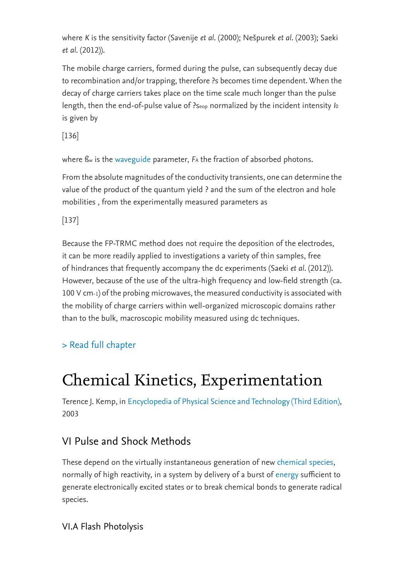where K is the sensitivity factor (Savenije et al. (2000); Nešpurek et al. (2003); Saeki et al. (2012)).

The mobile charge carriers, formed during the pulse, can subsequently decay due to recombination and/or trapping, therefore ?s becomes time dependent. When the decay of charge carriers takes place on the time scale much longer than the pulse length, then the end-of-pulse value of ? Seop normalized by the incident intensity lo is given by

[136]

where  $\mathbb{S}_{w}$  is the [waveguide](https://www.sciencedirect.com/topics/materials-science/waveguide) parameter, FA the fraction of absorbed photons.

From the absolute magnitudes of the conductivity transients, one can determine the value of the product of the quantum yield ? and the sum of the electron and hole mobilities , from the experimentally measured parameters as

[137]

Because the FP-TRMC method does not require the deposition of the electrodes, it can be more readily applied to investigations a variety of thin samples, free of hindrances that frequently accompany the dc experiments (Saeki et al. (2012)). However, because of the use of the ultra-high frequency and low-field strength (ca. 100 V cm-1) of the probing microwaves, the measured conductivity is associated with the mobility of charge carriers within well-organized microscopic domains rather than to the bulk, macroscopic mobility measured using dc techniques.

## [> Read full chapter](https://www.sciencedirect.com/science/article/pii/B9780128035818013424)

# [Chemical Kinetics, Experimentation](https://www.sciencedirect.com/science/article/pii/B0122274105000983)

Terence J. Kemp, in [Encyclopedia of Physical Science and Technology \(Third Edition\)](https://www.sciencedirect.com/referencework/9780122274107), 2003

## VI Pulse and Shock Methods

These depend on the virtually instantaneous generation of new [chemical species,](https://www.sciencedirect.com/topics/engineering/chemical-specie) normally of high reactivity, in a system by delivery of a burst of [energy](https://www.sciencedirect.com/topics/engineering/energy-engineering) sufficient to generate electronically excited states or to break chemical bonds to generate radical species.

### VI.A Flash Photolysis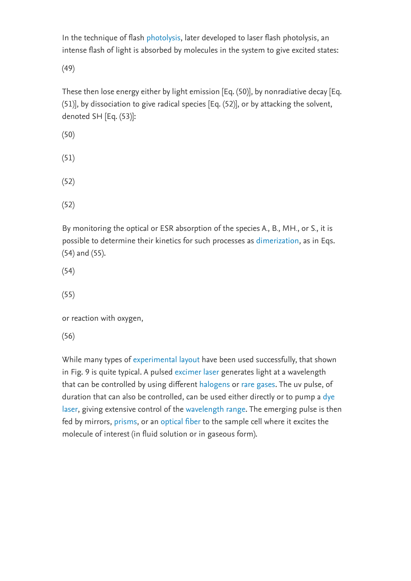In the technique of flash [photolysis,](https://www.sciencedirect.com/topics/physics-and-astronomy/photolysis) later developed to laser flash photolysis, an intense flash of light is absorbed by molecules in the system to give excited states:

(49)

These then lose energy either by light emission [Eq. (50)], by nonradiative decay [Eq. (51)], by dissociation to give radical species [Eq. (52)], or by attacking the solvent, denoted SH [Eq. (53)]:

(50)

- (51)
- (52)
- (52)

By monitoring the optical or ESR absorption of the species A., B., MH., or S., it is possible to determine their kinetics for such processes as [dimerization](https://www.sciencedirect.com/topics/engineering/dimerization), as in Eqs. (54) and (55).

(54)

(55)

or reaction with oxygen,

(56)

While many types of [experimental layout](https://www.sciencedirect.com/topics/engineering/experimental-layout) have been used successfully, that shown in Fig. 9 is quite typical. A pulsed [excimer laser](https://www.sciencedirect.com/topics/engineering/excimer-laser) generates light at a wavelength that can be controlled by using different [halogens](https://www.sciencedirect.com/topics/chemistry/halogen) or [rare gases.](https://www.sciencedirect.com/topics/physics-and-astronomy/rare-gases) The uv pulse, of duration that can also be controlled, can be used either directly or to pump a [dye](https://www.sciencedirect.com/topics/physics-and-astronomy/dye-lasers)  [laser,](https://www.sciencedirect.com/topics/physics-and-astronomy/dye-lasers) giving extensive control of the [wavelength range.](https://www.sciencedirect.com/topics/computer-science/wavelength-range) The emerging pulse is then fed by mirrors, [prisms,](https://www.sciencedirect.com/topics/chemistry/prismatic-crystal) or an [optical fiber](https://www.sciencedirect.com/topics/engineering/optical-fibers) to the sample cell where it excites the molecule of interest (in fluid solution or in gaseous form).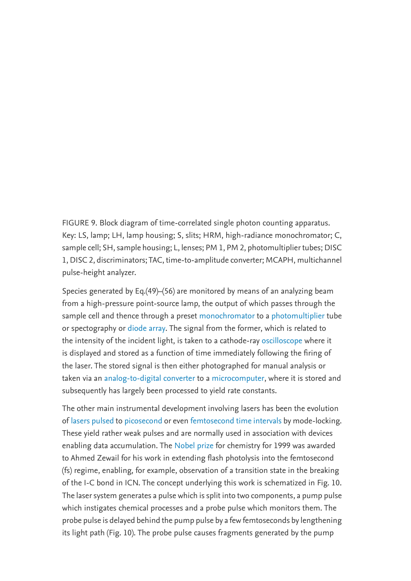FIGURE 9. Block diagram of time-correlated single photon counting apparatus. Key: LS, lamp; LH, lamp housing; S, slits; HRM, high-radiance monochromator; C, sample cell; SH, sample housing; L, lenses; PM 1, PM 2, photomultiplier tubes; DISC 1, DISC 2, discriminators; TAC, time-to-amplitude converter; MCAPH, multichannel pulse-height analyzer.

Species generated by Eq.(49)–(56) are monitored by means of an analyzing beam from a high-pressure point-source lamp, the output of which passes through the sample cell and thence through a preset [monochromator](https://www.sciencedirect.com/topics/earth-and-planetary-sciences/monochromators) to a [photomultiplier](https://www.sciencedirect.com/topics/engineering/photomultiplier) tube or spectography or [diode array.](https://www.sciencedirect.com/topics/engineering/diode-array) The signal from the former, which is related to the intensity of the incident light, is taken to a cathode-ray [oscilloscope](https://www.sciencedirect.com/topics/engineering/oscilloscope) where it is displayed and stored as a function of time immediately following the firing of the laser. The stored signal is then either photographed for manual analysis or taken via an [analog-to-digital converter](https://www.sciencedirect.com/topics/engineering/analog-to-digital-converter) to a [microcomputer,](https://www.sciencedirect.com/topics/earth-and-planetary-sciences/microcomputer) where it is stored and subsequently has largely been processed to yield rate constants.

The other main instrumental development involving lasers has been the evolution of [lasers pulsed](https://www.sciencedirect.com/topics/physics-and-astronomy/pulsed-lasers) to [picosecond](https://www.sciencedirect.com/topics/engineering/picosecond) or even [femtosecond](https://www.sciencedirect.com/topics/engineering/femtosecond) [time intervals](https://www.sciencedirect.com/topics/mathematics/time-interval-tau) by mode-locking. These yield rather weak pulses and are normally used in association with devices enabling data accumulation. The [Nobel prize](https://www.sciencedirect.com/topics/engineering/nobel-prize) for chemistry for 1999 was awarded to Ahmed Zewail for his work in extending flash photolysis into the femtosecond (fs) regime, enabling, for example, observation of a transition state in the breaking of the I-C bond in ICN. The concept underlying this work is schematized in Fig. 10. The laser system generates a pulse which is split into two components, a pump pulse which instigates chemical processes and a probe pulse which monitors them. The probe pulse is delayed behind the pump pulse by a few femtoseconds by lengthening its light path (Fig. 10). The probe pulse causes fragments generated by the pump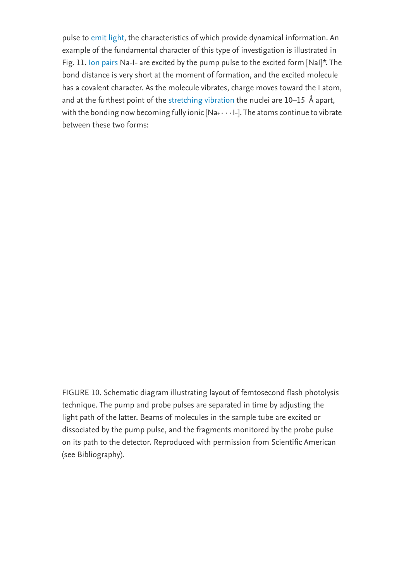pulse to [emit light,](https://www.sciencedirect.com/topics/engineering/emit-light) the characteristics of which provide dynamical information. An example of the fundamental character of this type of investigation is illustrated in Fig. 11. [Ion pairs](https://www.sciencedirect.com/topics/engineering/ion-pair) Na+I− are excited by the pump pulse to the excited form [NaI]\*. The bond distance is very short at the moment of formation, and the excited molecule has a covalent character. As the molecule vibrates, charge moves toward the I atom, and at the furthest point of the [stretching vibration](https://www.sciencedirect.com/topics/chemistry/stretching-vibration) the nuclei are 10–15 Å apart, with the bonding now becoming fully ionic [Na<sub>+</sub> ··· I<sub>-</sub>]. The atoms continue to vibrate between these two forms:

FIGURE 10. Schematic diagram illustrating layout of femtosecond flash photolysis technique. The pump and probe pulses are separated in time by adjusting the light path of the latter. Beams of molecules in the sample tube are excited or dissociated by the pump pulse, and the fragments monitored by the probe pulse on its path to the detector. Reproduced with permission from Scientific American (see Bibliography).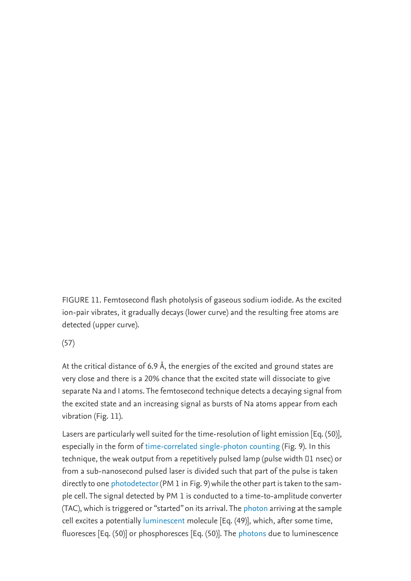FIGURE 11. Femtosecond flash photolysis of gaseous sodium iodide. As the excited ion-pair vibrates, it gradually decays (lower curve) and the resulting free atoms are detected (upper curve).

#### (57)

At the critical distance of 6.9 Å, the energies of the excited and ground states are very close and there is a 20% chance that the excited state will dissociate to give separate Na and I atoms. The femtosecond technique detects a decaying signal from the excited state and an increasing signal as bursts of Na atoms appear from each vibration (Fig. 11).

Lasers are particularly well suited for the time-resolution of light emission [Eq. (50)], especially in the form of [time-correlated single-photon counting](https://www.sciencedirect.com/topics/engineering/time-correlated-single-photon-counting) (Fig. 9). In this technique, the weak output from a repetitively pulsed lamp (pulse width  $\Box$ 1 nsec) or from a sub-nanosecond pulsed laser is divided such that part of the pulse is taken directly to one [photodetector](https://www.sciencedirect.com/topics/engineering/photodetector) (PM 1 in Fig. 9) while the other part is taken to the sample cell. The signal detected by PM 1 is conducted to a time-to-amplitude converter (TAC), which is triggered or "started" on its arrival. The [photon](https://www.sciencedirect.com/topics/physics-and-astronomy/photons) arriving at the sample cell excites a potentially [luminescent](https://www.sciencedirect.com/topics/chemistry/luminiscence-type) molecule [Eq. (49)], which, after some time, fluoresces [Eq. (50)] or phosphoresces [Eq. (50)]. The [photons](https://www.sciencedirect.com/topics/physics-and-astronomy/photons) due to luminescence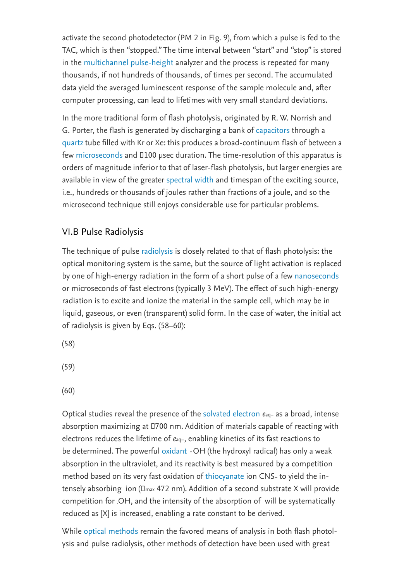activate the second photodetector (PM 2 in Fig. 9), from which a pulse is fed to the TAC, which is then "stopped." The time interval between "start" and "stop" is stored in the [multichannel](https://www.sciencedirect.com/topics/engineering/multichannel) [pulse-height](https://www.sciencedirect.com/topics/earth-and-planetary-sciences/pulse-amplitude) analyzer and the process is repeated for many thousands, if not hundreds of thousands, of times per second. The accumulated data yield the averaged luminescent response of the sample molecule and, after computer processing, can lead to lifetimes with very small standard deviations.

In the more traditional form of flash photolysis, originated by R. W. Norrish and G. Porter, the flash is generated by discharging a bank of [capacitors](https://www.sciencedirect.com/topics/chemistry/capacitor) through a [quartz](https://www.sciencedirect.com/topics/earth-and-planetary-sciences/quartz) tube filled with Kr or Xe: this produces a broad-continuum flash of between a few [microseconds](https://www.sciencedirect.com/topics/engineering/microsecond) and 100 μsec duration. The time-resolution of this apparatus is orders of magnitude inferior to that of laser-flash photolysis, but larger energies are available in view of the greater [spectral width](https://www.sciencedirect.com/topics/engineering/spectral-width) and timespan of the exciting source, i.e., hundreds or thousands of joules rather than fractions of a joule, and so the microsecond technique still enjoys considerable use for particular problems.

#### VI.B Pulse Radiolysis

The technique of pulse [radiolysis](https://www.sciencedirect.com/topics/engineering/radiolysis) is closely related to that of flash photolysis: the optical monitoring system is the same, but the source of light activation is replaced by one of high-energy radiation in the form of a short pulse of a few [nanoseconds](https://www.sciencedirect.com/topics/engineering/nanosecond) or microseconds of fast electrons (typically 3 MeV). The effect of such high-energy radiation is to excite and ionize the material in the sample cell, which may be in liquid, gaseous, or even (transparent) solid form. In the case of water, the initial act of radiolysis is given by Eqs. (58–60):

(58)

- (59)
- (60)

Optical studies reveal the presence of the [solvated electron](https://www.sciencedirect.com/topics/chemistry/solvated-electron) eaq− as a broad, intense absorption maximizing at 0700 nm. Addition of materials capable of reacting with electrons reduces the lifetime of eaq−, enabling kinetics of its fast reactions to be determined. The powerful [oxidant](https://www.sciencedirect.com/topics/engineering/oxidant)  $\cdot$  OH (the hydroxyl radical) has only a weak absorption in the ultraviolet, and its reactivity is best measured by a competition method based on its very fast oxidation of [thiocyanate](https://www.sciencedirect.com/topics/chemistry/thiocyanate) ion CNS− to yield the intensely absorbing ion ( $\Box$ <sub>max</sub> 472 nm). Addition of a second substrate X will provide competition for .OH, and the intensity of the absorption of will be systematically reduced as [X] is increased, enabling a rate constant to be derived.

While [optical methods](https://www.sciencedirect.com/topics/chemistry/optical-method) remain the favored means of analysis in both flash photolysis and pulse radiolysis, other methods of detection have been used with great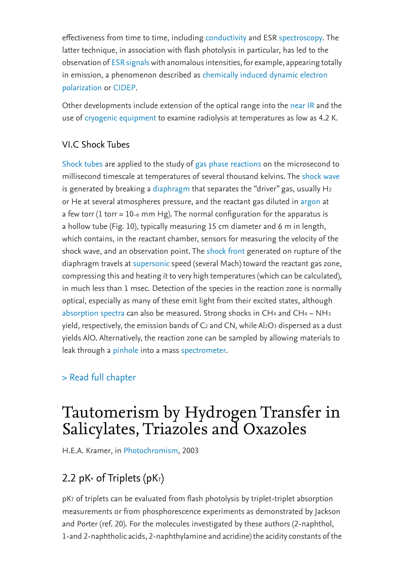effectiveness from time to time, including [conductivity](https://www.sciencedirect.com/topics/chemistry/conductivity) and ESR [spectroscopy](https://www.sciencedirect.com/topics/earth-and-planetary-sciences/spectroscopy). The latter technique, in association with flash photolysis in particular, has led to the observation of [ESR signals](https://www.sciencedirect.com/topics/chemistry/electron-spin-resonance-signal) with anomalous intensities, for example, appearing totally in emission, a phenomenon described as [chemically induced dynamic electron](https://www.sciencedirect.com/topics/chemistry/chemically-induced-dynamic-electron-polarization)  [polarization](https://www.sciencedirect.com/topics/chemistry/chemically-induced-dynamic-electron-polarization) or [CIDEP](https://www.sciencedirect.com/topics/chemistry/chemically-induced-dynamic-electron-polarization).

Other developments include extension of the optical range into the [near IR](https://www.sciencedirect.com/topics/chemistry/nir-spectroscopy) and the use of [cryogenic equipment](https://www.sciencedirect.com/topics/chemical-engineering/cryogenic-equipment) to examine radiolysis at temperatures as low as 4.2 K.

#### VI.C Shock Tubes

[Shock tubes](https://www.sciencedirect.com/topics/earth-and-planetary-sciences/shock-tubes) are applied to the study of [gas phase reactions](https://www.sciencedirect.com/topics/earth-and-planetary-sciences/gas-phase-reaction) on the microsecond to millisecond timescale at temperatures of several thousand kelvins. The [shock wave](https://www.sciencedirect.com/topics/physics-and-astronomy/shock-waves) is generated by breaking a [diaphragm](https://www.sciencedirect.com/topics/engineering/diaphragms) that separates the "driver" gas, usually H2 or He at several atmospheres pressure, and the reactant gas diluted in [argon](https://www.sciencedirect.com/topics/chemistry/argon) at a few torr (1 torr = 10−6 mm Hg). The normal configuration for the apparatus is a hollow tube (Fig. 10), typically measuring 15 cm diameter and 6 m in length, which contains, in the reactant chamber, sensors for measuring the velocity of the shock wave, and an observation point. The [shock front](https://www.sciencedirect.com/topics/physics-and-astronomy/shock-fronts) generated on rupture of the diaphragm travels at [supersonic](https://www.sciencedirect.com/topics/physics-and-astronomy/supersonics) speed (several Mach) toward the reactant gas zone, compressing this and heating it to very high temperatures (which can be calculated), in much less than 1 msec. Detection of the species in the reaction zone is normally optical, especially as many of these emit light from their excited states, although [absorption spectra](https://www.sciencedirect.com/topics/earth-and-planetary-sciences/absorption-spectra) can also be measured. Strong shocks in CH4 and CH<sup>4</sup> − NH<sup>3</sup> yield, respectively, the emission bands of C2 and CN, while Al2O3 dispersed as a dust yields AlO. Alternatively, the reaction zone can be sampled by allowing materials to leak through a [pinhole](https://www.sciencedirect.com/topics/earth-and-planetary-sciences/pinhole) into a mass [spectrometer](https://www.sciencedirect.com/topics/mathematics/spectrometer).

#### [> Read full chapter](https://www.sciencedirect.com/science/article/pii/B0122274105000983)

# [Tautomerism by Hydrogen Transfer in](https://www.sciencedirect.com/science/article/pii/B9780444513229500208)  [Salicylates, Triazoles and Oxazoles](https://www.sciencedirect.com/science/article/pii/B9780444513229500208)

H.E.A. Kramer, in [Photochromism](https://www.sciencedirect.com/book/9780444513229), 2003

## 2.2 pK $*$  of Triplets (pK $<sub>T</sub>$ )</sub>

pKT of triplets can be evaluated from flash photolysis by triplet-triplet absorption measurements or from phosphorescence experiments as demonstrated by Jackson and Porter (ref. 20). For the molecules investigated by these authors (2-naphthol, 1-and 2-naphtholic acids, 2-naphthylamine and acridine) the acidity constants of the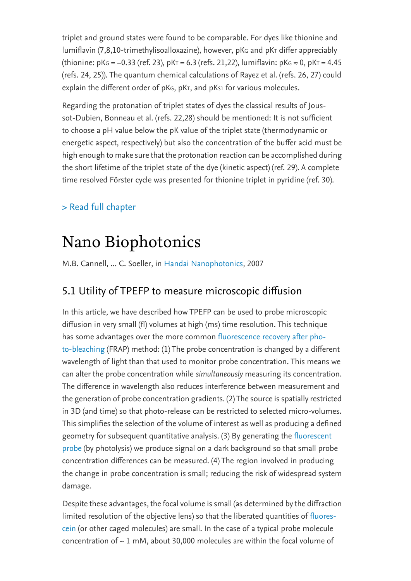triplet and ground states were found to be comparable. For dyes like thionine and lumiflavin (7,8,10-trimethylisoalloxazine), however, pKG and pK $\tau$  differ appreciably (thionine: pKG = −0.33 (ref. 23), pKT = 6.3 (refs. 21,22), lumiflavin: pKG ≈ 0, pKT = 4.45 (refs. 24, 25)). The quantum chemical calculations of Rayez et al. (refs. 26, 27) could explain the different order of pKG, pKT, and pKS1 for various molecules.

Regarding the protonation of triplet states of dyes the classical results of Joussot-Dubien, Bonneau et al. (refs. 22,28) should be mentioned: It is not sufficient to choose a pH value below the pK value of the triplet state (thermodynamic or energetic aspect, respectively) but also the concentration of the buffer acid must be high enough to make sure that the protonation reaction can be accomplished during the short lifetime of the triplet state of the dye (kinetic aspect) (ref. 29). A complete time resolved Förster cycle was presented for thionine triplet in pyridine (ref. 30).

#### [> Read full chapter](https://www.sciencedirect.com/science/article/pii/B9780444513229500208)

# [Nano Biophotonics](https://www.sciencedirect.com/science/article/pii/S1574064107800192)

M.B. Cannell, ... C. Soeller, in [Handai Nanophotonics](https://www.sciencedirect.com/science/bookseries/15740641), 2007

### 5.1 Utility of TPEFP to measure microscopic diffusion

In this article, we have described how TPEFP can be used to probe microscopic diffusion in very small (fl) volumes at high (ms) time resolution. This technique has some advantages over the more common [fluorescence recovery after pho](https://www.sciencedirect.com/topics/chemistry/fluorescence-recovery-after-photobleaching)[to-bleaching](https://www.sciencedirect.com/topics/chemistry/fluorescence-recovery-after-photobleaching) (FRAP) method: (1) The probe concentration is changed by a different wavelength of light than that used to monitor probe concentration. This means we can alter the probe concentration while simultaneously measuring its concentration. The difference in wavelength also reduces interference between measurement and the generation of probe concentration gradients. (2) The source is spatially restricted in 3D (and time) so that photo-release can be restricted to selected micro-volumes. This simplifies the selection of the volume of interest as well as producing a defined geometry for subsequent quantitative analysis. (3) By generating the [fluorescent](https://www.sciencedirect.com/topics/chemistry/fluorescent-probe)  [probe](https://www.sciencedirect.com/topics/chemistry/fluorescent-probe) (by photolysis) we produce signal on a dark background so that small probe concentration differences can be measured. (4) The region involved in producing the change in probe concentration is small; reducing the risk of widespread system damage.

Despite these advantages, the focal volume is small (as determined by the diffraction limited resolution of the objective lens) so that the liberated quantities of [fluores](https://www.sciencedirect.com/topics/chemistry/fluorescein)[cein](https://www.sciencedirect.com/topics/chemistry/fluorescein) (or other caged molecules) are small. In the case of a typical probe molecule concentration of ~ 1 mM, about 30,000 molecules are within the focal volume of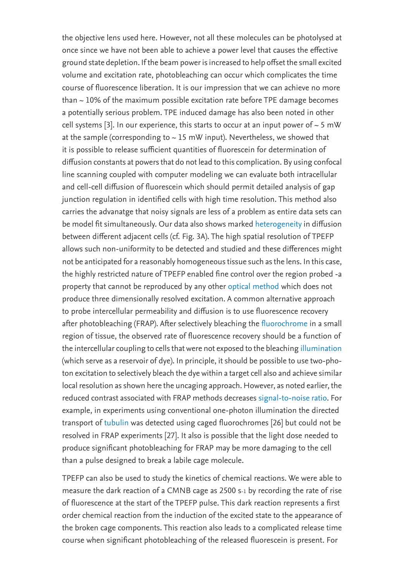the objective lens used here. However, not all these molecules can be photolysed at once since we have not been able to achieve a power level that causes the effective ground state depletion. If the beam power is increased to help offset the small excited volume and excitation rate, photobleaching can occur which complicates the time course of fluorescence liberation. It is our impression that we can achieve no more than  $\sim$  10% of the maximum possible excitation rate before TPE damage becomes a potentially serious problem. TPE induced damage has also been noted in other cell systems [3]. In our experience, this starts to occur at an input power of  $\sim$  5 mW at the sample (corresponding to  $\sim$  15 mW input). Nevertheless, we showed that it is possible to release sufficient quantities of fluorescein for determination of diffusion constants at powers that do not lead to this complication. By using confocal line scanning coupled with computer modeling we can evaluate both intracellular and cell-cell diffusion of fluorescein which should permit detailed analysis of gap junction regulation in identified cells with high time resolution. This method also carries the advanatge that noisy signals are less of a problem as entire data sets can be model fit simultaneously. Our data also shows marked [heterogeneity](https://www.sciencedirect.com/topics/chemistry/heterogeneity) in diffusion between different adjacent cells (cf. Fig. 3A). The high spatial resolution of TPEFP allows such non-uniformity to be detected and studied and these differences might not be anticipated for a reasonably homogeneous tissue such as the lens. In this case, the highly restricted nature of TPEFP enabled fine control over the region probed -a property that cannot be reproduced by any other [optical method](https://www.sciencedirect.com/topics/chemistry/optical-method) which does not produce three dimensionally resolved excitation. A common alternative approach to probe intercellular permeability and diffusion is to use fluorescence recovery after photobleaching (FRAP). After selectively bleaching the [fluorochrome](https://www.sciencedirect.com/topics/chemistry/fluorochrome) in a small region of tissue, the observed rate of fluorescence recovery should be a function of the intercellular coupling to cells that were not exposed to the bleaching [illumination](https://www.sciencedirect.com/topics/chemistry/illumination) (which serve as a reservoir of dye). In principle, it should be possible to use two-photon excitation to selectively bleach the dye within a target cell also and achieve similar local resolution as shown here the uncaging approach. However, as noted earlier, the reduced contrast associated with FRAP methods decreases [signal-to-noise ratio.](https://www.sciencedirect.com/topics/chemistry/signal-to-noise-ratio) For example, in experiments using conventional one-photon illumination the directed transport of [tubulin](https://www.sciencedirect.com/topics/chemistry/tubulin) was detected using caged fluorochromes [26] but could not be resolved in FRAP experiments [27]. It also is possible that the light dose needed to produce significant photobleaching for FRAP may be more damaging to the cell than a pulse designed to break a labile cage molecule.

TPEFP can also be used to study the kinetics of chemical reactions. We were able to measure the dark reaction of a CMNB cage as 2500 s-1 by recording the rate of rise of fluorescence at the start of the TPEFP pulse. This dark reaction represents a first order chemical reaction from the induction of the excited state to the appearance of the broken cage components. This reaction also leads to a complicated release time course when significant photobleaching of the released fluorescein is present. For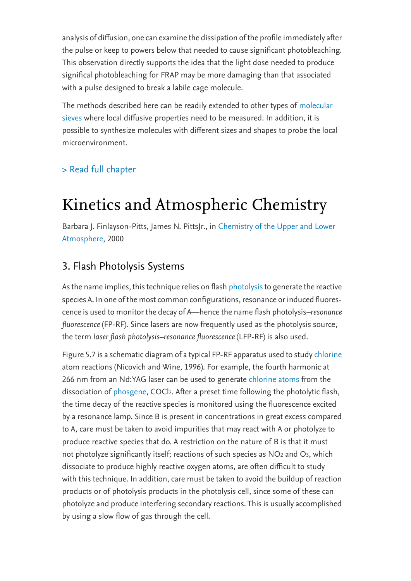analysis of diffusion, one can examine the dissipation of the profile immediately after the pulse or keep to powers below that needed to cause significant photobleaching. This observation directly supports the idea that the light dose needed to produce significal photobleaching for FRAP may be more damaging than that associated with a pulse designed to break a labile cage molecule.

The methods described here can be readily extended to other types of [molecular](https://www.sciencedirect.com/topics/chemistry/molecular-sieve)  [sieves](https://www.sciencedirect.com/topics/chemistry/molecular-sieve) where local diffusive properties need to be measured. In addition, it is possible to synthesize molecules with different sizes and shapes to probe the local microenvironment.

#### [> Read full chapter](https://www.sciencedirect.com/science/article/pii/S1574064107800192)

# [Kinetics and Atmospheric Chemistry](https://www.sciencedirect.com/science/article/pii/B9780122570605500071)

Barbara J. Finlayson-Pitts, James N. PittsJr., in [Chemistry of the Upper and Lower](https://www.sciencedirect.com/book/9780122570605)  [Atmosphere](https://www.sciencedirect.com/book/9780122570605), 2000

### 3. Flash Photolysis Systems

As the name implies, this technique relies on flash [photolysis](https://www.sciencedirect.com/topics/chemistry/photolysis) to generate the reactive species A. In one of the most common configurations, resonance or induced fluorescence is used to monitor the decay of A—hence the name flash photolysis–resonance fluorescence (FP-RF). Since lasers are now frequently used as the photolysis source, the term laser flash photolysis–resonance fluorescence (LFP-RF) is also used.

Figure 5.7 is a schematic diagram of a typical FP-RF apparatus used to study [chlorine](https://www.sciencedirect.com/topics/chemistry/chlorine) atom reactions (Nicovich and Wine, 1996). For example, the fourth harmonic at 266 nm from an Nd:YAG laser can be used to generate [chlorine atoms](https://www.sciencedirect.com/topics/chemistry/chlorine-atom) from the dissociation of [phosgene,](https://www.sciencedirect.com/topics/chemistry/phosgene) COCl2. After a preset time following the photolytic flash, the time decay of the reactive species is monitored using the fluorescence excited by a resonance lamp. Since B is present in concentrations in great excess compared to A, care must be taken to avoid impurities that may react with A or photolyze to produce reactive species that do. A restriction on the nature of B is that it must not photolyze significantly itself; reactions of such species as NO2 and O3, which dissociate to produce highly reactive oxygen atoms, are often difficult to study with this technique. In addition, care must be taken to avoid the buildup of reaction products or of photolysis products in the photolysis cell, since some of these can photolyze and produce interfering secondary reactions. This is usually accomplished by using a slow flow of gas through the cell.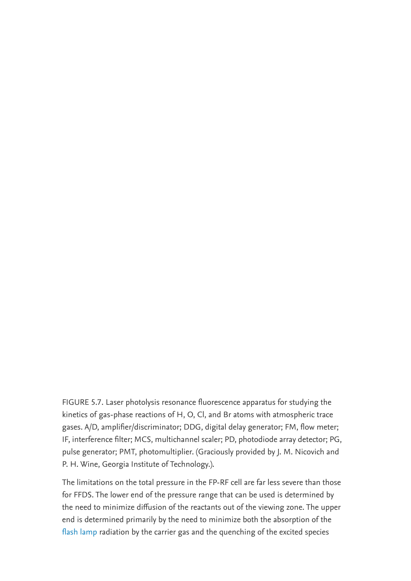FIGURE 5.7. Laser photolysis resonance fluorescence apparatus for studying the kinetics of gas-phase reactions of H, O, Cl, and Br atoms with atmospheric trace gases. A/D, amplifier/discriminator; DDG, digital delay generator; FM, flow meter; IF, interference filter; MCS, multichannel scaler; PD, photodiode array detector; PG, pulse generator; PMT, photomultiplier. (Graciously provided by J. M. Nicovich and P. H. Wine, Georgia Institute of Technology.).

The limitations on the total pressure in the FP-RF cell are far less severe than those for FFDS. The lower end of the pressure range that can be used is determined by the need to minimize diffusion of the reactants out of the viewing zone. The upper end is determined primarily by the need to minimize both the absorption of the [flash lamp](https://www.sciencedirect.com/topics/earth-and-planetary-sciences/flash-lamps) radiation by the carrier gas and the quenching of the excited species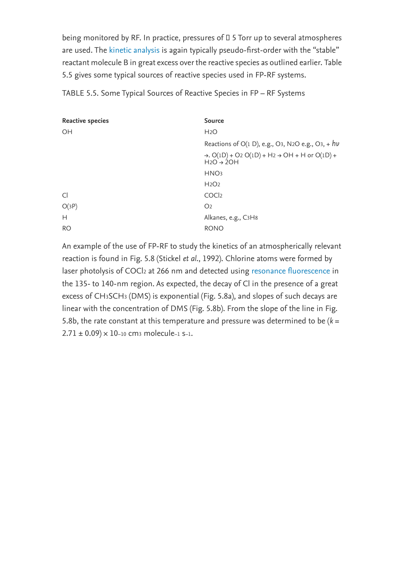being monitored by RF. In practice, pressures of  $\Box$  5 Torr up to several atmospheres are used. The [kinetic analysis](https://www.sciencedirect.com/topics/chemistry/kinetic-method) is again typically pseudo-first-order with the "stable" reactant molecule B in great excess over the reactive species as outlined earlier. Table 5.5 gives some typical sources of reactive species used in FP-RF systems.

TABLE 5.5. Some Typical Sources of Reactive Species in FP – RF Systems

| <b>Reactive species</b> | <b>Source</b>                                                                                  |
|-------------------------|------------------------------------------------------------------------------------------------|
| OH                      | H2O                                                                                            |
|                         | Reactions of O(1 D), e.g., O3, N2O e.g., O3, $+ h\nu$                                          |
|                         | $\rightarrow$ . O(1D) + O2 O(1D) + H2 $\rightarrow$ OH + H or O(1D) +<br>$H2O \rightarrow 2OH$ |
|                         | HNO <sub>3</sub>                                                                               |
|                         | H2O2                                                                                           |
| $\overline{C}$          | COC <sub>2</sub>                                                                               |
| O(3P)                   | O <sub>2</sub>                                                                                 |
| H                       | Alkanes, e.g., C3H8                                                                            |
| <b>RO</b>               | <b>RONO</b>                                                                                    |

An example of the use of FP-RF to study the kinetics of an atmospherically relevant reaction is found in Fig. 5.8 (Stickel et al., 1992). Chlorine atoms were formed by laser photolysis of COCl2 at 266 nm and detected using [resonance fluorescence](https://www.sciencedirect.com/topics/chemistry/resonance-fluorescence) in the 135- to 140-nm region. As expected, the decay of Cl in the presence of a great excess of CH3SCH3 (DMS) is exponential (Fig. 5.8a), and slopes of such decays are linear with the concentration of DMS (Fig. 5.8b). From the slope of the line in Fig. 5.8b, the rate constant at this temperature and pressure was determined to be  $(k = 1)$ 2.71 ± 0.09) × 10−10 cm3 molecule−1 s−1.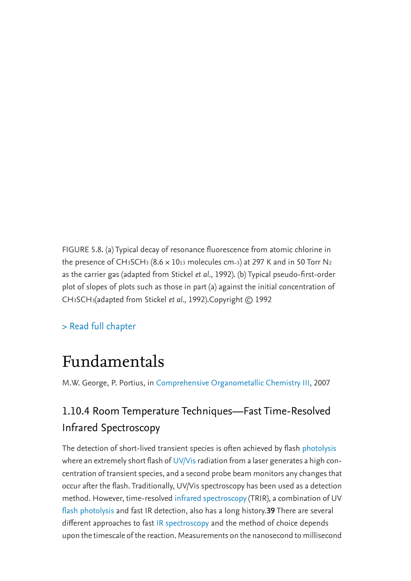FIGURE 5.8. (a) Typical decay of resonance fluorescence from atomic chlorine in the presence of CH3SCH3 (8.6 × 1013 molecules cm−3) at 297 K and in 50 Torr N<sup>2</sup> as the carrier gas (adapted from Stickel et al., 1992). (b) Typical pseudo-first-order plot of slopes of plots such as those in part (a) against the initial concentration of CH3SCH3(adapted from Stickel et al., 1992).Copyright © 1992

#### [> Read full chapter](https://www.sciencedirect.com/science/article/pii/B9780122570605500071)

## [Fundamentals](https://www.sciencedirect.com/science/article/pii/B008045047400011X)

M.W. George, P. Portius, in [Comprehensive Organometallic Chemistry III,](https://www.sciencedirect.com/referencework/9780080450476) 2007

## 1.10.4 Room Temperature Techniques—Fast Time-Resolved Infrared Spectroscopy

The detection of short-lived transient species is often achieved by flash [photolysis](https://www.sciencedirect.com/topics/chemistry/photolysis) where an extremely short flash of [UV/Vis](https://www.sciencedirect.com/topics/chemistry/uv-vis-spectroscopy) radiation from a laser generates a high concentration of transient species, and a second probe beam monitors any changes that occur after the flash. Traditionally, UV/Vis spectroscopy has been used as a detection method. However, time-resolved [infrared spectroscopy](https://www.sciencedirect.com/topics/chemistry/ir-spectroscopy) (TRIR), a combination of UV [flash photolysis](https://www.sciencedirect.com/topics/chemistry/flash-photolysis) and fast IR detection, also has a long history.39 There are several different approaches to fast [IR spectroscopy](https://www.sciencedirect.com/topics/chemistry/ir-spectroscopy) and the method of choice depends upon the timescale of the reaction. Measurements on the nanosecond to millisecond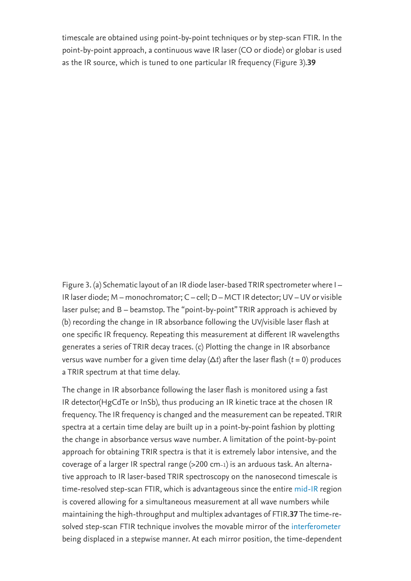timescale are obtained using point-by-point techniques or by step-scan FTIR. In the point-by-point approach, a continuous wave IR laser (CO or diode) or globar is used as the IR source, which is tuned to one particular IR frequency (Figure 3).39

Figure 3. (a) Schematic layout of an IR diode laser-based TRIR spectrometer where I – IR laser diode; M – monochromator; C – cell; D – MCT IR detector; UV – UV or visible laser pulse; and B – beamstop. The "point-by-point" TRIR approach is achieved by (b) recording the change in IR absorbance following the UV/visible laser flash at one specific IR frequency. Repeating this measurement at different IR wavelengths generates a series of TRIR decay traces. (c) Plotting the change in IR absorbance versus wave number for a given time delay  $(\Delta t)$  after the laser flash ( $t = 0$ ) produces a TRIR spectrum at that time delay.

The change in IR absorbance following the laser flash is monitored using a fast IR detector(HgCdTe or InSb), thus producing an IR kinetic trace at the chosen IR frequency. The IR frequency is changed and the measurement can be repeated. TRIR spectra at a certain time delay are built up in a point-by-point fashion by plotting the change in absorbance versus wave number. A limitation of the point-by-point approach for obtaining TRIR spectra is that it is extremely labor intensive, and the coverage of a larger IR spectral range (>200 cm−1) is an arduous task. An alternative approach to IR laser-based TRIR spectroscopy on the nanosecond timescale is time-resolved step-scan FTIR, which is advantageous since the entire [mid-IR](https://www.sciencedirect.com/topics/chemistry/mid-ir-spectroscopy) region is covered allowing for a simultaneous measurement at all wave numbers while maintaining the high-throughput and multiplex advantages of FTIR.37 The time-resolved step-scan FTIR technique involves the movable mirror of the [interferometer](https://www.sciencedirect.com/topics/materials-science/interferometer) being displaced in a stepwise manner. At each mirror position, the time-dependent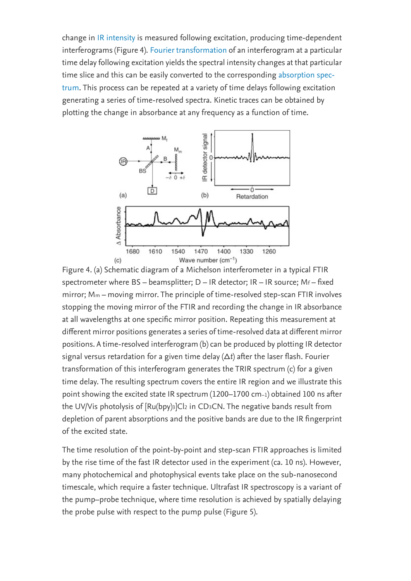change in [IR intensity](https://www.sciencedirect.com/topics/chemistry/infrared-signal-intensity) is measured following excitation, producing time-dependent interferograms (Figure 4). [Fourier transformation](https://www.sciencedirect.com/topics/chemistry/fourier-transform) of an interferogram at a particular time delay following excitation yields the spectral intensity changes at that particular time slice and this can be easily converted to the corresponding [absorption spec](https://www.sciencedirect.com/topics/chemistry/absorption-spectrum)[trum.](https://www.sciencedirect.com/topics/chemistry/absorption-spectrum) This process can be repeated at a variety of time delays following excitation generating a series of time-resolved spectra. Kinetic traces can be obtained by plotting the change in absorbance at any frequency as a function of time.



Figure 4. (a) Schematic diagram of a Michelson interferometer in a typical FTIR spectrometer where BS – beamsplitter; D – IR detector; IR – IR source; Mf – fixed mirror; Mm – moving mirror. The principle of time-resolved step-scan FTIR involves stopping the moving mirror of the FTIR and recording the change in IR absorbance at all wavelengths at one specific mirror position. Repeating this measurement at different mirror positions generates a series of time-resolved data at different mirror positions. A time-resolved interferogram (b) can be produced by plotting IR detector signal versus retardation for a given time delay  $(\Delta t)$  after the laser flash. Fourier transformation of this interferogram generates the TRIR spectrum (c) for a given time delay. The resulting spectrum covers the entire IR region and we illustrate this point showing the excited state IR spectrum (1200–1700 cm−1) obtained 100 ns after the UV/Vis photolysis of [Ru(bpy)3]Cl2 in CD3CN. The negative bands result from depletion of parent absorptions and the positive bands are due to the IR fingerprint of the excited state.

The time resolution of the point-by-point and step-scan FTIR approaches is limited by the rise time of the fast IR detector used in the experiment (ca. 10 ns). However, many photochemical and photophysical events take place on the sub-nanosecond timescale, which require a faster technique. Ultrafast IR spectroscopy is a variant of the pump–probe technique, where time resolution is achieved by spatially delaying the probe pulse with respect to the pump pulse (Figure 5).